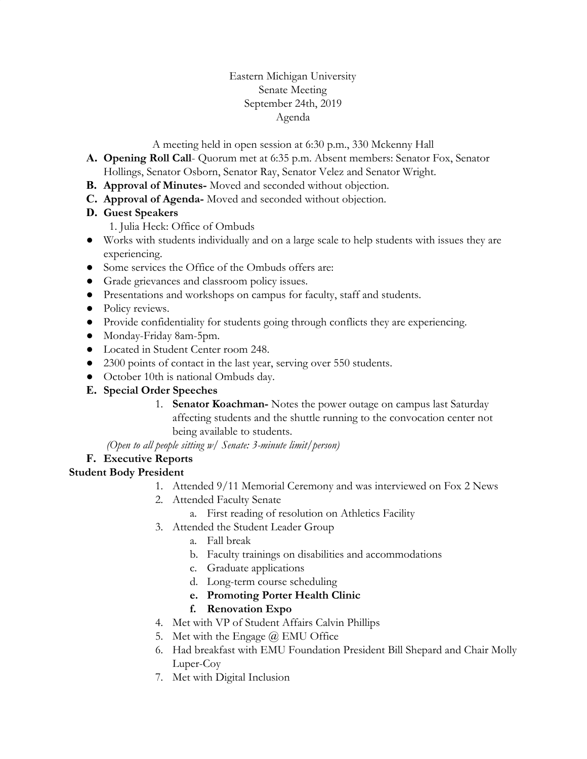### Eastern Michigan University Senate Meeting September 24th, 2019 Agenda

A meeting held in open session at 6:30 p.m., 330 Mckenny Hall

- **A. Opening Roll Call** Quorum met at 6:35 p.m. Absent members: Senator Fox, Senator Hollings, Senator Osborn, Senator Ray, Senator Velez and Senator Wright.
- **B. Approval of Minutes-** Moved and seconded without objection.
- **C. Approval of Agenda-** Moved and seconded without objection.

## **D. Guest Speakers**

1. Julia Heck: Office of Ombuds

- Works with students individually and on a large scale to help students with issues they are experiencing.
- Some services the Office of the Ombuds offers are:
- Grade grievances and classroom policy issues.
- Presentations and workshops on campus for faculty, staff and students.
- Policy reviews.
- Provide confidentiality for students going through conflicts they are experiencing.
- Monday-Friday 8am-5pm.
- Located in Student Center room 248.
- 2300 points of contact in the last year, serving over 550 students.
- October 10th is national Ombuds day.
- **E. Special Order Speeches**
	- 1. **Senator Koachman-** Notes the power outage on campus last Saturday affecting students and the shuttle running to the convocation center not being available to students.

*(Open to all people sitting w/ Senate: 3-minute limit/person)*

# **F. Executive Reports**

### **Student Body President**

- 1. Attended 9/11 Memorial Ceremony and was interviewed on Fox 2 News
- 2. Attended Faculty Senate
	- a. First reading of resolution on Athletics Facility
- 3. Attended the Student Leader Group
	- a. Fall break
	- b. Faculty trainings on disabilities and accommodations
	- c. Graduate applications
	- d. Long-term course scheduling
	- **e. Promoting Porter Health Clinic**
	- **f. Renovation Expo**
- 4. Met with VP of Student Affairs Calvin Phillips
- 5. Met with the Engage  $\omega$  EMU Office
- 6. Had breakfast with EMU Foundation President Bill Shepard and Chair Molly Luper-Coy
- 7. Met with Digital Inclusion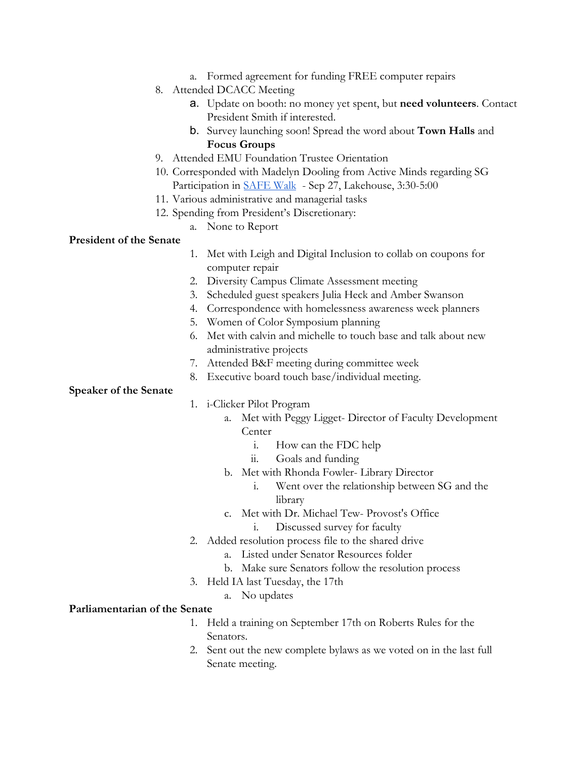- a. Formed agreement for funding FREE computer repairs
- 8. Attended DCACC Meeting
	- a. Update on booth: no money yet spent, but **need volunteers**. Contact President Smith if interested.
	- b. Survey launching soon! Spread the word about **Town Halls** and **Focus Groups**
- 9. Attended EMU Foundation Trustee Orientation
- 10. Corresponded with Madelyn Dooling from Active Minds regarding SG Participation in [SAFE Walk](https://docs.google.com/document/d/1PIA8ipdAH4oyn0ON-GVDKNUOCDk-8gjg5LaZsiHZwc8/edit?usp=sharing) - Sep 27, Lakehouse, 3:30-5:00
- 11. Various administrative and managerial tasks
- 12. Spending from President's Discretionary:
	- a. None to Report

#### **President of the Senate**

- 1. Met with Leigh and Digital Inclusion to collab on coupons for computer repair
- 2. Diversity Campus Climate Assessment meeting
- 3. Scheduled guest speakers Julia Heck and Amber Swanson
- 4. Correspondence with homelessness awareness week planners
- 5. Women of Color Symposium planning
- 6. Met with calvin and michelle to touch base and talk about new administrative projects
- 7. Attended B&F meeting during committee week
- 8. Executive board touch base/individual meeting.

**Speaker of the Senate**

- 1. i-Clicker Pilot Program
	- a. Met with Peggy Ligget- Director of Faculty Development Center
		- i. How can the FDC help
		- ii. Goals and funding
	- b. Met with Rhonda Fowler- Library Director
		- i. Went over the relationship between SG and the library
	- c. Met with Dr. Michael Tew- Provost's Office
		- i. Discussed survey for faculty
- 2. Added resolution process file to the shared drive
	- a. Listed under Senator Resources folder
	- b. Make sure Senators follow the resolution process
- 3. Held IA last Tuesday, the 17th
	- a. No updates

#### **Parliamentarian of the Senate**

- 1. Held a training on September 17th on Roberts Rules for the Senators.
- 2. Sent out the new complete bylaws as we voted on in the last full Senate meeting.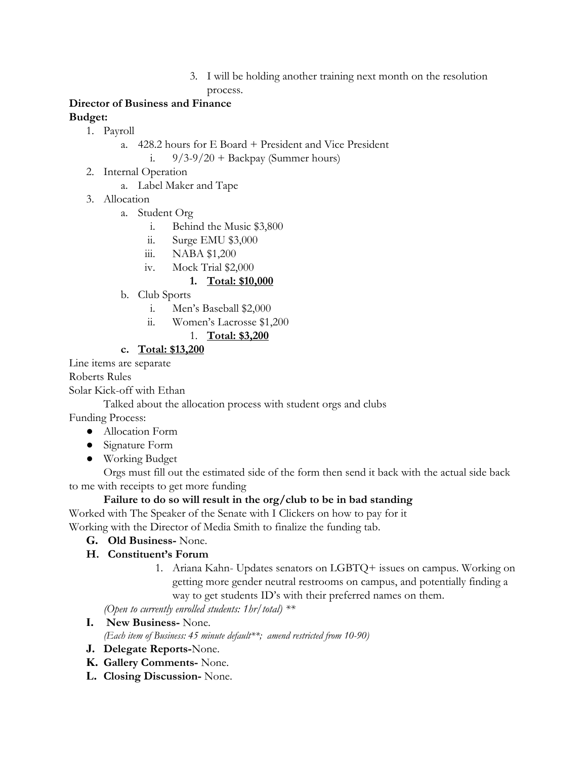3. I will be holding another training next month on the resolution process.

### **Director of Business and Finance Budget:**

- 1. Payroll
	- a. 428.2 hours for E Board + President and Vice President
		- i.  $9/3-9/20 + \text{Backpay (Summer hours)}$
- 2. Internal Operation
	- a. Label Maker and Tape
- 3. Allocation
	- a. Student Org
		- i. Behind the Music \$3,800
		- ii. Surge EMU \$3,000
		- iii. NABA \$1,200
		- iv. Mock Trial \$2,000

# **1. Total: \$10,000**

- b. Club Sports
	- i. Men's Baseball \$2,000
	- ii. Women's Lacrosse \$1,200

# 1. **Total: \$3,200**

## **c. Total: \$13,200**

Line items are separate

Roberts Rules

Solar Kick-off with Ethan

Talked about the allocation process with student orgs and clubs

Funding Process:

- Allocation Form
- Signature Form
- Working Budget

Orgs must fill out the estimated side of the form then send it back with the actual side back to me with receipts to get more funding

# **Failure to do so will result in the org/club to be in bad standing**

Worked with The Speaker of the Senate with I Clickers on how to pay for it Working with the Director of Media Smith to finalize the funding tab.

**G. Old Business-** None.

# **H. Constituent's Forum**

1. Ariana Kahn- Updates senators on LGBTQ+ issues on campus. Working on getting more gender neutral restrooms on campus, and potentially finding a way to get students ID's with their preferred names on them.

*(Open to currently enrolled students: 1hr/total) \*\**

- **I. New Business-** None. *(Each item of Business: 45 minute default\*\*; amend restricted from 10-90)*
- **J. Delegate Reports-**None.
- **K. Gallery Comments-** None.
- **L. Closing Discussion-** None.